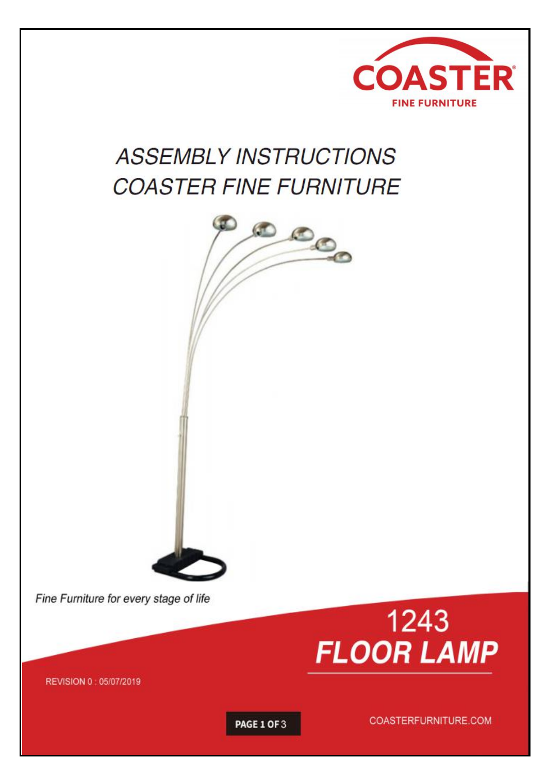

# **ASSEMBLY INSTRUCTIONS COASTER FINE FURNITURE**



Fine Furniture for every stage of life



REVISION 0 : 05/07/2019

PAGE 1 OF 3

COASTERFURNITURE.COM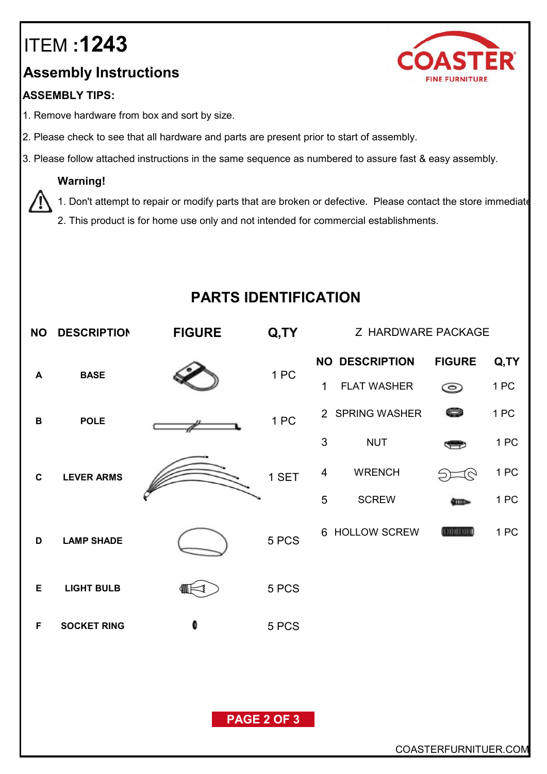## ITEM **:1243**

### **Assembly Instructions**

#### **ASSEMBLY TIPS:**

- 1. Remove hardware from box and sort by size.
- 2. Please check to see that all hardware and parts are present prior to start of assembly.
- 3. Please follow attached instructions in the same sequence as numbered to assure fast & easy assembly.

#### **Warning!**

1. Don't attempt to repair or modify parts that are broken or defective. Please contact the store immediate

2. This product is for home use only and not intended for commercial establishments.

### **PARTS IDENTIFICATION**

|             | NO DESCRIPTION     | <b>FIGURE</b>        | Q,TY               |             | Z HARDWARE PACKAGE                          |                                 |              |
|-------------|--------------------|----------------------|--------------------|-------------|---------------------------------------------|---------------------------------|--------------|
| A           | <b>BASE</b>        |                      | 1 PC               | $\mathbf 1$ | <b>NO DESCRIPTION</b><br><b>FLAT WASHER</b> | <b>FIGURE</b><br>$\circledcirc$ | Q,TY<br>1 PC |
| B           | <b>POLE</b>        |                      | 1 PC               |             | 2 SPRING WASHER                             | 0                               | 1 PC         |
|             |                    |                      |                    | 3           | <b>NUT</b>                                  | S                               | 1 PC         |
| $\mathbf c$ | <b>LEVER ARMS</b>  |                      | 1 SET              | 4           | <b>WRENCH</b>                               | $5 - 6$                         | 1 PC         |
|             |                    |                      |                    | 5           | <b>SCREW</b>                                | <b>SHID-</b>                    | 1 PC         |
| D           | <b>LAMP SHADE</b>  |                      | 5 PCS              |             | 6 HOLLOW SCREW                              | <b>COMMENT</b>                  | 1 PC         |
| Е           | <b>LIGHT BULB</b>  |                      | 5 PCS              |             |                                             |                                 |              |
| F           | <b>SOCKET RING</b> | 0                    | 5 PCS              |             |                                             |                                 |              |
|             |                    |                      |                    |             |                                             |                                 |              |
|             |                    |                      |                    |             |                                             |                                 |              |
|             |                    |                      | <b>PAGE 2 OF 3</b> |             |                                             |                                 |              |
|             |                    | COASTERFURNITUER.COM |                    |             |                                             |                                 |              |

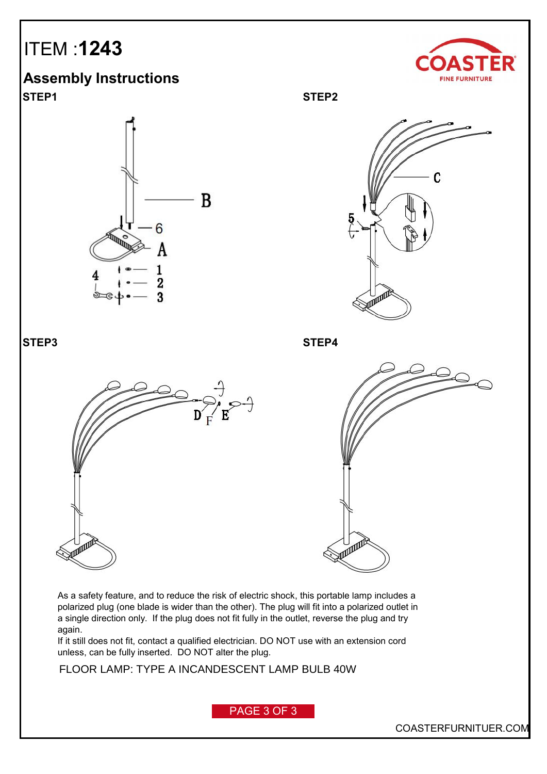## ITEM :**1243**

**Assembly Instructions STEP1 STEP2**





**STEP3 STEP4**





As a safety feature, and to reduce the risk of electric shock, this portable lamp includes a polarized plug (one blade is wider than the other). The plug will fit into a polarized outlet in a single direction only. If the plug does not fit fully in the outlet, reverse the plug and try again.

If it still does not fit, contact a qualified electrician. DO NOT use with an extension cord unless, can be fully inserted. DO NOT alter the plug.

FLOOR LAMP: TYPE A INCANDESCENT LAMP BULB 40W

PAGE 3 OF 3

COASTERFURNITUER.COM